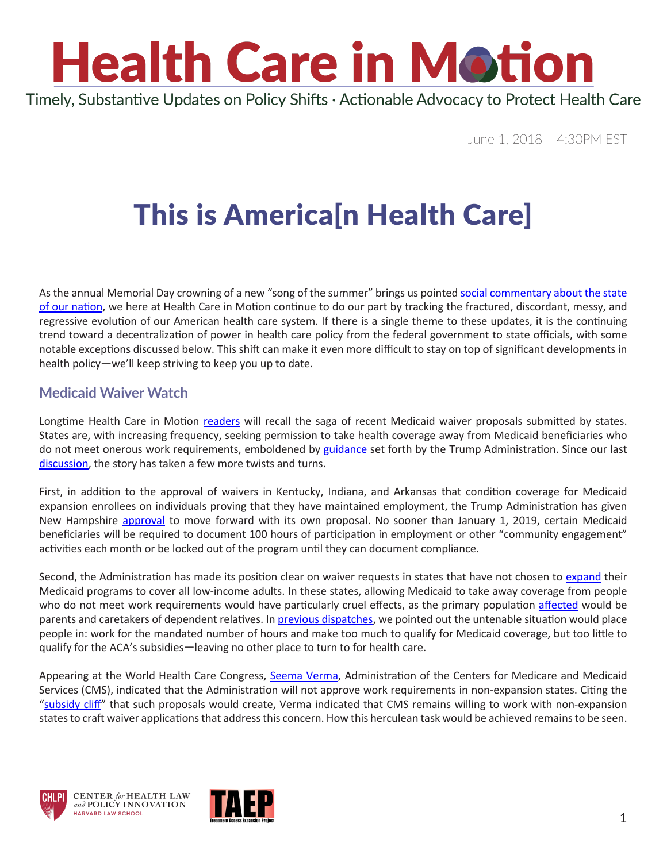

June 1, 2018 4:30PM EST

### This is America[n Health Care]

As the annual Memorial Day crowning of a new "song of the summer" brings us pointed social commentary about the state [of our nation](https://www.youtube.com/watch?v=VYOjWnS4cMY), we here at Health Care in Motion continue to do our part by tracking the fractured, discordant, messy, and regressive evolution of our American health care system. If there is a single theme to these updates, it is the continuing trend toward a decentralization of power in health care policy from the federal government to state officials, with some notable exceptions discussed below. This shift can make it even more difficult to stay on top of significant developments in health policy—we'll keep striving to keep you up to date.

#### **Medicaid Waiver Watch**

Longtime Health Care in Motion [readers](https://www.chlpi.org/wp-content/uploads/2013/12/HCIM_05_07_2018.pdf) will recall the saga of recent Medicaid waiver proposals submitted by states. States are, with increasing frequency, seeking permission to take health coverage away from Medicaid beneficiaries who do not meet onerous work requirements, emboldened by [guidance](https://www.medicaid.gov/federal-policy-guidance/downloads/smd18002.pdf) set forth by the Trump Administration. Since our last [discussion](https://www.chlpi.org/wp-content/uploads/2013/12/HCIM_05_07_2018.pdf), the story has taken a few more twists and turns.

First, in addition to the approval of waivers in Kentucky, Indiana, and Arkansas that condition coverage for Medicaid expansion enrollees on individuals proving that they have maintained employment, the Trump Administration has given New Hampshire [approval](http://thehill.com/policy/healthcare/medicaid/386566-new-hampshire-wins-approval-to-imose-medicaid-work-requirements) to move forward with its own proposal. No sooner than January 1, 2019, certain Medicaid beneficiaries will be required to document 100 hours of participation in employment or other "community engagement" activities each month or be locked out of the program until they can document compliance.

Second, the Administration has made its position clear on waiver requests in states that have not chosen to [expand](https://www.kff.org/health-reform/state-indicator/state-activity-around-expanding-medicaid-under-the-affordable-care-act/?activeTab=map¤tTimeframe=0&selectedDistributions=current-status-of-medicaid-expansion-decision&sortModel=%7B%22colId%22:%22Location%22,%22sort%22:%22asc%22%7D) their Medicaid programs to cover all low-income adults. In these states, allowing Medicaid to take away coverage from people who do not meet work requirements would have particularly cruel effects, as the primary population [affected](https://ccf.georgetown.edu/2017/12/01/kansas-and-mississippi-medicaid-waivers-race-to-the-bottom-most-vulnerable-families-targeted-by-harmful-proposal/) would be parents and caretakers of dependent relatives. In [previous dispatches](https://www.chlpi.org/wp-content/uploads/2013/12/HCIM_05_07_2018.pdf), we pointed out the untenable situation would place people in: work for the mandated number of hours and make too much to qualify for Medicaid coverage, but too little to qualify for the ACA's subsidies—leaving no other place to turn to for health care.

Appearing at the World Health Care Congress, [Seema Verma](https://www.cms.gov/about-cms/leadership/), Administration of the Centers for Medicare and Medicaid Services (CMS), indicated that the Administration will not approve work requirements in non-expansion states. Citing the "[subsidy cliff"](http://www.modernhealthcare.com/article/20180501/NEWS/180509987) that such proposals would create, Verma indicated that CMS remains willing to work with non-expansion states to craft waiver applications that address this concern. How this herculean task would be achieved remains to be seen.





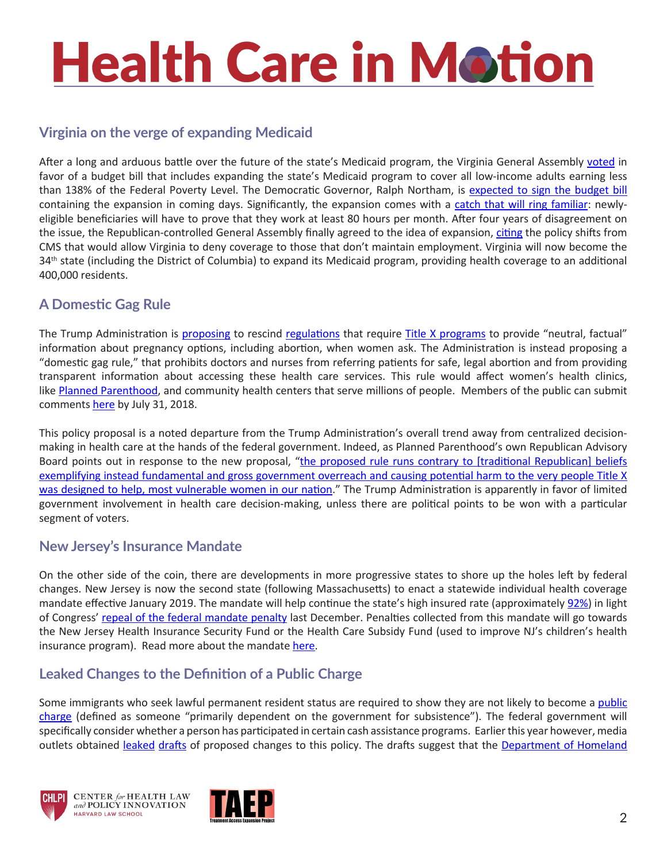# **Health Care in Motion**

#### **Virginia on the verge of expanding Medicaid**

After a long and arduous battle over the future of the state's Medicaid program, the Virginia General Assembly [voted](https://www.nbcnews.com/news/us-news/virginia-lawmakers-approve-medicaid-expansion-ending-four-years-gridlock-n878761) in favor of a budget bill that includes expanding the state's Medicaid program to cover all low-income adults earning less than 138% of the Federal Poverty Level. The Democratic Governor, Ralph Northam, is expected to sign the budget bill containing the expansion in coming days. Significantly, the expansion comes with a [catch that will ring familiar:](https://www.cbpp.org/blog/hundreds-of-thousands-of-virginians-will-gain-coverage-from-medicaid-expansion-but-eligibility) newlyeligible beneficiaries will have to prove that they work at least 80 hours per month. After four years of disagreement on the issue, the Republican-controlled General Assembly finally agreed to the idea of expansion, [citing](https://www.washingtonpost.com/national/health-science/why-the-trump-administration-made-it-easier-for-virginia-republicans-to-expand-medicaid/2018/05/31/6571c44a-64ee-11e8-a768-ed043e33f1dc_story.html?utm_term=.9c4453e8d82e) the policy shifts from CMS that would allow Virginia to deny coverage to those that don't maintain employment. Virginia will now become the  $34<sup>th</sup>$  state (including the District of Columbia) to expand its Medicaid program, providing health coverage to an additional 400,000 residents.

#### **A Domestic Gag Rule**

The Trump Administration is [proposing](https://www.gpo.gov/fdsys/pkg/FR-2018-06-01/pdf/2018-11673.pdf) to rescind [regulations](https://www.law.cornell.edu/cfr/text/42/59.5) that require [Title X programs](https://www.hhs.gov/opa/sites/default/files/OPA_Title_X_Family_Planning_Directory_April2018_508.pdf) to provide "neutral, factual" information about pregnancy options, including abortion, when women ask. The Administration is instead proposing a "domestic gag rule," that prohibits doctors and nurses from referring patients for safe, legal abortion and from providing transparent information about accessing these health care services. This rule would affect women's health clinics, like [Planned Parenthood,](https://www.plannedparenthood.org/) and community health centers that serve millions of people. Members of the public can submit comments [here](https://www.regulations.gov/comment?D=HHS_FRDOC_0001-0689) by July 31, 2018.

This policy proposal is a noted departure from the Trump Administration's overall trend away from centralized decisionmaking in health care at the hands of the federal government. Indeed, as Planned Parenthood's own Republican Advisory Board points out in response to the new proposal, "the proposed rule runs contrary to [traditional Republican] beliefs [exemplifying instead fundamental and gross government overreach and causing potential harm to the very people Title X](https://www.plannedparenthood.org/planned-parenthood-st-louis-region-southwest-missouri/blog/planned-parenthood-republican-advisory-board-opposes-proposed-title-x-gag-rule)  [was designed to help, most vulnerable women in our nation](https://www.plannedparenthood.org/planned-parenthood-st-louis-region-southwest-missouri/blog/planned-parenthood-republican-advisory-board-opposes-proposed-title-x-gag-rule)." The Trump Administration is apparently in favor of limited government involvement in health care decision-making, unless there are political points to be won with a particular segment of voters.

#### **New Jersey's Insurance Mandate**

On the other side of the coin, there are developments in more progressive states to shore up the holes left by federal changes. New Jersey is now the second state (following Massachusetts) to enact a statewide individual health coverage mandate effective January 2019. The mandate will help continue the state's high insured rate (approximately [92%](https://www.kff.org/other/state-indicator/total-population/?currentTimeframe=0&sortModel=%7B%22colId%22:%22Location%22,%22sort%22:%22asc%22%7D)) in light of Congress' [repeal of the federal mandate penalty](https://www.nytimes.com/2017/12/21/upshot/individual-health-insurance-mandate-end-impact.html) last December. Penalties collected from this mandate will go towards the New Jersey Health Insurance Security Fund or the Health Care Subsidy Fund (used to improve NJ's children's health insurance program). Read more about the mandate [here](https://www.politico.com/states/new-jersey/story/2018/05/30/new-jersey-becomes-second-state-to-adopt-individual-health-insurance-mandate-442183).

#### **Leaked Changes to the Definition of a Public Charge**

Some immigrants who seek lawful permanent resident status are required to show they are not likely to become a [public](https://www.uscis.gov/news/fact-sheets/public-charge-fact-sheet)  [charge](https://www.uscis.gov/news/fact-sheets/public-charge-fact-sheet) (defined as someone "primarily dependent on the government for subsistence"). The federal government will specifically consider whether a person has participated in certain cash assistance programs. Earlier this year however, media outlets obtained [leaked](https://cdn.vox-cdn.com/uploads/chorus_asset/file/10188201/DRAFT_NPRM_public_charge.0.pdf) [drafts](http://apps.washingtonpost.com/g/documents/world/read-the-trump-administrations-draft-proposal-penalizing-immigrants-who-accept-almost-any-public-benefit/2841/) of proposed changes to this policy. The drafts suggest that the Department of Homeland